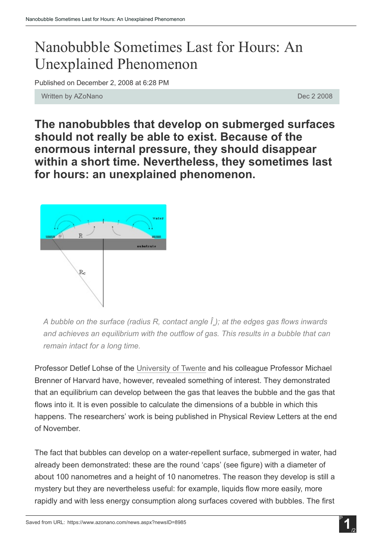## Nanobubble Sometimes Last for Hours: An Unexplained Phenomenon

Published on December 2, 2008 at 6:28 PM

Written by AZoNano **Dec 2 2008 Dec 2 2008** 

The nanobubbles that develop on submerged surfaces should not really be able to exist. Because of the enormous internal pressure, they should disappear within a short time. Nevertheless, they sometimes last for hours: an unexplained phenomenon.



*A bubble on the surface (radius R, contact angle θ); at the edges gas flows inwards and achieves an equilibrium with the outflow of gas. This results in a bubble that can remain intact for a long time.*

Professor Detlef Lohse of the [University](http://www.utwente.nl/en/) of Twente and his colleague Professor Michael Brenner of Harvard have, however, revealed something of interest. They demonstrated that an equilibrium can develop between the gas that leaves the bubble and the gas that flows into it. It is even possible to calculate the dimensions of a bubble in which this happens. The researchers' work is being published in Physical Review Letters at the end of November.

The fact that bubbles can develop on a water-repellent surface, submerged in water, had already been demonstrated: these are the round 'caps' (see figure) with a diameter of about 100 nanometres and a height of 10 nanometres. The reason they develop is still a mystery but they are nevertheless useful: for example, liquids flow more easily, more rapidly and with less energy consumption along surfaces covered with bubbles. The first